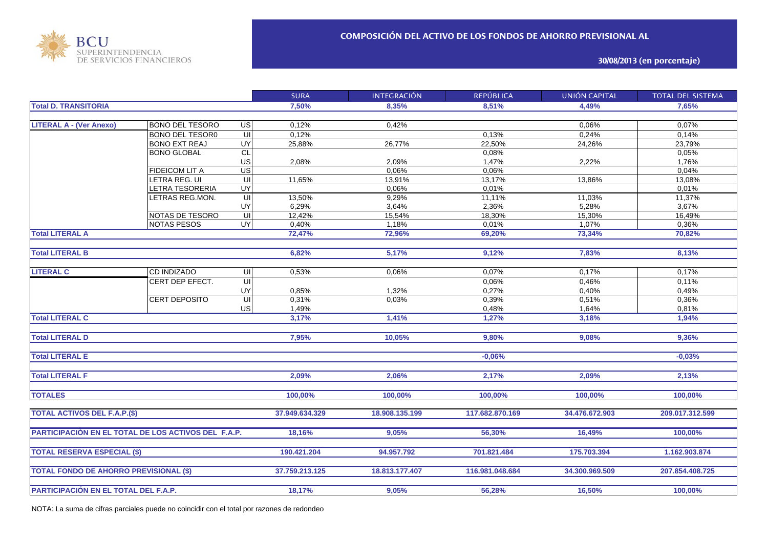

**30/08/2013 (en porcentaje)**

|                                                     |                        |                                    | <b>SURA</b>    | <b>INTEGRACIÓN</b> | <b>REPÚBLICA</b> | UNIÓN CAPITAL  | <b>TOTAL DEL SISTEMA</b> |
|-----------------------------------------------------|------------------------|------------------------------------|----------------|--------------------|------------------|----------------|--------------------------|
| <b>Total D. TRANSITORIA</b>                         |                        |                                    | 7,50%          | 8,35%              | 8,51%            | 4,49%          | 7,65%                    |
|                                                     |                        |                                    |                |                    |                  |                |                          |
| <b>LITERAL A - (Ver Anexo)</b>                      | <b>BONO DEL TESORO</b> | US                                 | 0,12%          | 0,42%              |                  | 0,06%          | 0,07%                    |
|                                                     | <b>BONO DEL TESORO</b> | $\overline{\overline{\mathsf{c}}}$ | 0,12%          |                    | 0,13%            | 0,24%          | 0,14%                    |
|                                                     | <b>BONO EXT REAJ</b>   | UY                                 | 25,88%         | 26,77%             | 22,50%           | 24,26%         | 23,79%                   |
|                                                     | <b>BONO GLOBAL</b>     | CL                                 |                |                    | 0,08%            |                | 0,05%                    |
|                                                     |                        | US                                 | 2,08%          | 2,09%              | 1,47%            | 2,22%          | 1,76%                    |
|                                                     | <b>FIDEICOM LIT A</b>  | US                                 |                | 0,06%              | 0,06%            |                | 0,04%                    |
|                                                     | LETRA REG. UI          | $\overline{u}$                     | 11,65%         | 13,91%             | 13,17%           | 13,86%         | 13,08%                   |
|                                                     | <b>ETRA TESORERIA</b>  | UY                                 |                | 0,06%              | 0,01%            |                | 0,01%                    |
|                                                     | ETRAS REG.MON.         | $\overline{\overline{\mathsf{c}}}$ | 13,50%         | 9,29%              | 11,11%           | 11,03%         | 11,37%                   |
|                                                     |                        | UY                                 | 6,29%          | 3,64%              | 2,36%            | 5,28%          | 3,67%                    |
|                                                     | NOTAS DE TESORO        | $\overline{\mathsf{c}}$            | 12,42%         | $15,54\%$          | 18,30%           | 15,30%         | 16,49%                   |
|                                                     | <b>NOTAS PESOS</b>     | <b>UY</b>                          | 0,40%          | 1,18%              | 0,01%            | 1,07%          | 0,36%                    |
| <b>Total LITERAL A</b>                              |                        |                                    | 72,47%         | 72,96%             | 69,20%           | 73,34%         | 70,82%                   |
|                                                     |                        |                                    |                |                    |                  |                |                          |
| <b>Total LITERAL B</b>                              |                        |                                    | 6,82%          | 5,17%              | 9,12%            | 7,83%          | 8,13%                    |
|                                                     |                        |                                    |                |                    |                  |                |                          |
| <b>LITERAL C</b>                                    | <b>CD INDIZADO</b>     | UI                                 | 0.53%          | 0.06%              | 0,07%            | 0,17%          | 0,17%                    |
|                                                     | CERT DEP EFECT.        | $\overline{\mathsf{u}}$            |                |                    | 0,06%            | 0,46%          | 0,11%                    |
|                                                     |                        | UY                                 | 0,85%          | 1,32%              | 0,27%            | 0,40%          | 0,49%                    |
|                                                     | <b>CERT DEPOSITO</b>   | $\overline{\mathsf{u}}$            | 0,31%          | 0,03%              | 0,39%            | 0,51%          | 0,36%                    |
|                                                     |                        | US                                 | 1,49%          |                    | 0,48%            | 1,64%          | 0,81%                    |
| <b>Total LITERAL C</b>                              |                        |                                    | 3,17%          | 1,41%              | 1,27%            | 3,18%          | 1,94%                    |
|                                                     |                        |                                    |                |                    |                  |                |                          |
| <b>Total LITERAL D</b>                              |                        |                                    | 7,95%          | 10,05%             | 9,80%            | 9,08%          | 9,36%                    |
|                                                     |                        |                                    |                |                    |                  |                |                          |
| <b>Total LITERAL E</b>                              |                        |                                    |                |                    | $-0.06%$         |                | $-0.03%$                 |
|                                                     |                        |                                    |                |                    |                  |                |                          |
| <b>Total LITERAL F</b>                              |                        |                                    | 2,09%          | 2,06%              | 2,17%            | 2,09%          | 2,13%                    |
|                                                     |                        |                                    |                |                    |                  |                |                          |
|                                                     |                        |                                    |                |                    |                  |                |                          |
| <b>TOTALES</b>                                      |                        |                                    | 100,00%        | 100,00%            | 100,00%          | 100,00%        | 100,00%                  |
|                                                     |                        |                                    |                |                    |                  |                |                          |
| <b>TOTAL ACTIVOS DEL F.A.P.(\$)</b>                 |                        |                                    | 37.949.634.329 | 18.908.135.199     | 117.682.870.169  | 34.476.672.903 | 209.017.312.599          |
|                                                     |                        |                                    |                |                    |                  |                |                          |
| PARTICIPACIÓN EN EL TOTAL DE LOS ACTIVOS DEL F.A.P. |                        |                                    | 18,16%         | 9,05%              | 56,30%           | 16,49%         | 100,00%                  |
|                                                     |                        |                                    |                |                    |                  |                |                          |
| <b>TOTAL RESERVA ESPECIAL (\$)</b>                  |                        |                                    | 190.421.204    | 94.957.792         | 701.821.484      | 175.703.394    | 1.162.903.874            |
|                                                     |                        |                                    |                |                    |                  |                |                          |
| <b>TOTAL FONDO DE AHORRO PREVISIONAL (\$)</b>       |                        |                                    | 37.759.213.125 | 18.813.177.407     | 116.981.048.684  | 34.300.969.509 | 207.854.408.725          |
|                                                     |                        |                                    |                |                    |                  |                |                          |
| PARTICIPACIÓN EN EL TOTAL DEL F.A.P.                |                        |                                    | 18,17%         | 9,05%              | 56,28%           | 16,50%         | 100,00%                  |

NOTA: La suma de cifras parciales puede no coincidir con el total por razones de redondeo